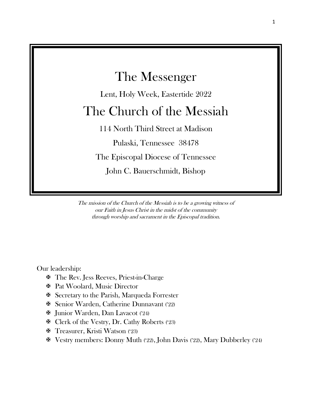

The mission of the Church of the Messiah is to be a growing witness of our Faith in Jesus Christ in the midst of the community through worship and sacrament in the Episcopal tradition.

Our leadership:

- **EX** The Rev. Jess Reeves, Priest-in-Charge
- Pat Woolard, Music Director
- Secretary to the Parish, Marqueda Forrester
- Senior Warden, Catherine Dunnavant ('22)
- Junior Warden, Dan Lavacot ('24)
- Clerk of the Vestry, Dr. Cathy Roberts ('23)
- **E** Treasurer, Kristi Watson (23)
- Vestry members: Donny Muth ('22), John Davis ('22), Mary Dubberley ('24)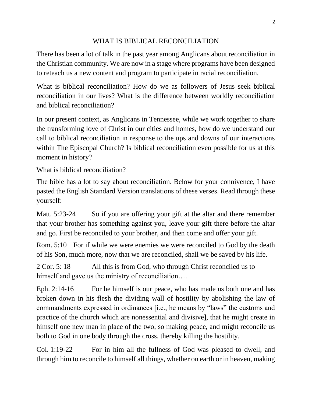# WHAT IS BIBLICAL RECONCILIATION

There has been a lot of talk in the past year among Anglicans about reconciliation in the Christian community. We are now in a stage where programs have been designed to reteach us a new content and program to participate in racial reconciliation.

What is biblical reconciliation? How do we as followers of Jesus seek biblical reconciliation in our lives? What is the difference between worldly reconciliation and biblical reconciliation?

In our present context, as Anglicans in Tennessee, while we work together to share the transforming love of Christ in our cities and homes, how do we understand our call to biblical reconciliation in response to the ups and downs of our interactions within The Episcopal Church? Is biblical reconciliation even possible for us at this moment in history?

What is biblical reconciliation?

The bible has a lot to say about reconciliation. Below for your connivence, I have pasted the English Standard Version translations of these verses. Read through these yourself:

Matt. 5:23-24 So if you are offering your gift at the altar and there remember that your brother has something against you, leave your gift there before the altar and go. First be reconciled to your brother, and then come and offer your gift.

Rom. 5:10 For if while we were enemies we were reconciled to God by the death of his Son, much more, now that we are reconciled, shall we be saved by his life.

2 Cor. 5: 18 All this is from God, who through Christ reconciled us to himself and gave us the ministry of reconciliation....

Eph. 2:14-16 For he himself is our peace, who has made us both one and has broken down in his flesh the dividing wall of hostility by abolishing the law of commandments expressed in ordinances [i.e., he means by "laws" the customs and practice of the church which are nonessential and divisive], that he might create in himself one new man in place of the two, so making peace, and might reconcile us both to God in one body through the cross, thereby killing the hostility.

Col. 1:19-22 For in him all the fullness of God was pleased to dwell, and through him to reconcile to himself all things, whether on earth or in heaven, making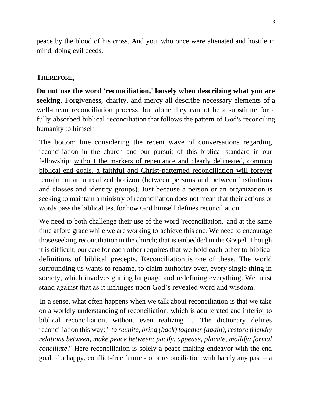peace by the blood of his cross. And you, who once were alienated and hostile in mind, doing evil deeds,

# **THEREFORE,**

**Do not use the word 'reconciliation,' loosely when describing what you are seeking.** Forgiveness, charity, and mercy all describe necessary elements of a well-meant reconciliation process, but alone they cannot be a substitute for a fully absorbed biblical reconciliation that follows the pattern of God's reconciling humanity to himself.

The bottom line considering the recent wave of conversations regarding reconciliation in the church and our pursuit of this biblical standard in our fellowship: without the markers of repentance and clearly delineated, common biblical end goals, a faithful and Christ-patterned reconciliation will forever remain on an unrealized horizon (between persons and between institutions and classes and identity groups). Just because a person or an organization is seeking to maintain a ministry of reconciliation does not mean that their actions or words pass the biblical test for how God himself defines reconciliation.

We need to both challenge their use of the word 'reconciliation,' and at the same time afford grace while we are working to achieve this end. We need to encourage those seeking reconciliation in the church; that is embedded in the Gospel. Though it is difficult, our care for each other requires that we hold each other to biblical definitions of biblical precepts. Reconciliation is one of these. The world surrounding us wants to rename, to claim authority over, every single thing in society, which involves gutting language and redefining everything. We must stand against that as it infringes upon God's revealed word and wisdom.

In a sense, what often happens when we talk about reconciliation is that we take on a worldly understanding of reconciliation, which is adulterated and inferior to biblical reconciliation, without even realizing it. The dictionary defines reconciliation this way: " *to reunite, bring (back) together (again), restore friendly relations between, make peace between; pacify, appease, placate, mollify; formal conciliate*." Here reconciliation is solely a peace-making endeavor with the end goal of a happy, conflict-free future - or a reconciliation with barely any past  $-a$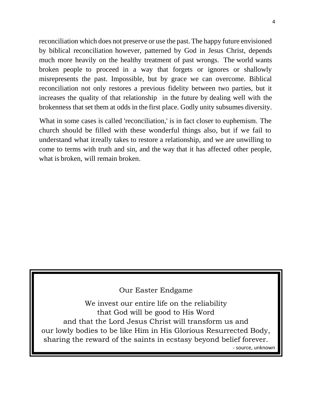reconciliation which does not preserve or use the past. The happy future envisioned by biblical reconciliation however, patterned by God in Jesus Christ, depends much more heavily on the healthy treatment of past wrongs. The world wants broken people to proceed in a way that forgets or ignores or shallowly misrepresents the past. Impossible, but by grace we can overcome. Biblical reconciliation not only restores a previous fidelity between two parties, but it increases the quality of that relationship in the future by dealing well with the brokenness that set them at odds in the first place. Godly unity subsumes diversity.

What in some cases is called 'reconciliation,' is in fact closer to euphemism. The church should be filled with these wonderful things also, but if we fail to understand what it really takes to restore a relationship, and we are unwilling to come to terms with truth and sin, and the way that it has affected other people, what is broken, will remain broken.

## Our Easter Endgame

We invest our entire life on the reliability that God will be good to His Word and that the Lord Jesus Christ will transform us and our lowly bodies to be like Him in His Glorious Resurrected Body, sharing the reward of the saints in ecstasy beyond belief forever. - source, unknown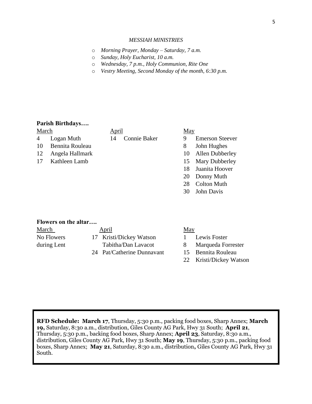#### *MESSIAH MINISTRIES*

- o *Morning Prayer, Monday – Saturday, 7 a.m.*
- o *Sunday, Holy Eucharist, 10 a.m.*
- o *Wednesday, 7 p.m., Holy Communion, Rite One*
- o *Vestry Meeting, Second Monday of the month, 6:30 p.m.*

### **Parish Birthdays….**

March May April May

- 10 Bennita Rouleau 8 John Hughes
- 12 Angela Hallmark 10 Allen Dubberley
- 17 Kathleen Lamb 15 Mary Dubberley

## 4 Logan Muth 14 Connie Baker 9 Emerson Steever

- 
- 
- 
- 
- 18 Juanita Hoover
- 20 Donny Muth
- 28 Colton Muth
- 30 John Davis

### **Flowers on the altar….**

| March       | <b>April</b>               | <u>May</u>         |
|-------------|----------------------------|--------------------|
| No Flowers  | 17 Kristi/Dickey Watson    | Lewis Foster       |
| during Lent | Tabitha/Dan Lavacot        | Marqueda Forrester |
|             | 24 Pat/Catherine Dunnavant | 15 Bennita Rouleau |

22 Kristi/Dickey Watson

**RFD Schedule: March 17**, Thursday, 5:30 p.m., packing food boxes, Sharp Annex; **March 19,** Saturday, 8:30 a.m., distribution, Giles County AG Park, Hwy 31 South; **April 21**, Thursday, 5:30 p.m., backing food boxes, Sharp Annex; **April 23**, Saturday, 8:30 a.m., distribution, Giles County AG Park, Hwy 31 South; **May 19**, Thursday, 5:30 p.m., packing food boxes, Sharp Annex; **May 21**, Saturday, 8:30 a.m., distribution**,** Giles County AG Park, Hwy 31 South.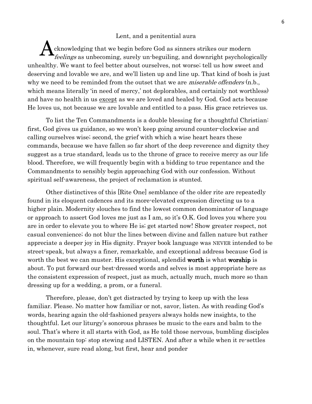### Lent, and a penitential aura

cknowledging that we begin before God as sinners strikes our modern feelings as unbecoming, surely un-beguiling, and downright psychologically unhealthy. We want to feel better about ourselves, not worse; tell us how sweet and deserving and lovable we are, and we'll listen up and line up. That kind of bosh is just why we need to be reminded from the outset that we are *miserable offenders* (n.b., which means literally 'in need of mercy,' not deplorables, and certainly not worthless) and have no health in us except as we are loved and healed by God. God acts because He loves us, not because we are lovable and entitled to a pass. His grace retrieves us. A

To list the Ten Commandments is a double blessing for a thoughtful Christian: first, God gives us guidance, so we won't keep going around counter-clockwise and calling ourselves wise; second, the grief with which a wise heart hears these commands, because we have fallen so far short of the deep reverence and dignity they suggest as a true standard, leads us to the throne of grace to receive mercy as our life blood. Therefore, we will frequently begin with a bidding to true repentance and the Commandments to sensibly begin approaching God with our confession. Without spiritual self-awareness, the project of reclamation is stunted.

Other distinctives of this [Rite One] semblance of the older rite are repeatedly found in its eloquent cadences and its more-elevated expression directing us to a higher plain. Modernity slouches to find the lowest common denominator of language or approach to assert God loves me just as I am, so it's O.K. God loves you where you are in order to elevate you to where He is; get started now! Show greater respect, not casual convenience; do not blur the lines between divine and fallen nature but rather appreciate a deeper joy in His dignity. Prayer book language was NEVER intended to be street-speak, but always a finer, remarkable, and exceptional address because God is worth the best we can muster. His exceptional, splendid **worth** is what **worship** is about. To put forward our best-dressed words and selves is most appropriate here as the consistent expression of respect, just as much, actually much, much more so than dressing up for a wedding, a prom, or a funeral.

Therefore, please, don't get distracted by trying to keep up with the less familiar. Please. No matter how familiar or not, savor, listen. As with reading God's words, hearing again the old-fashioned prayers always holds new insights, to the thoughtful. Let our liturgy's sonorous phrases be music to the ears and balm to the soul. That's where it all starts with God, as He told those nervous, bumbling disciples on the mountain top: stop stewing and LISTEN. And after a while when it re-settles in, whenever, sure read along, but first, hear and ponder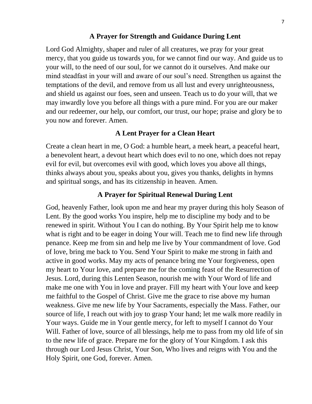## **A Prayer for Strength and Guidance During Lent**

Lord God Almighty, shaper and ruler of all creatures, we pray for your great mercy, that you guide us towards you, for we cannot find our way. And guide us to your will, to the need of our soul, for we cannot do it ourselves. And make our mind steadfast in your will and aware of our soul's need. Strengthen us against the temptations of the devil, and remove from us all lust and every unrighteousness, and shield us against our foes, seen and unseen. Teach us to do your will, that we may inwardly love you before all things with a pure mind. For you are our maker and our redeemer, our help, our comfort, our trust, our hope; praise and glory be to you now and forever. Amen.

# **A Lent Prayer for a Clean Heart**

Create a clean heart in me, O God: a humble heart, a meek heart, a peaceful heart, a benevolent heart, a devout heart which does evil to no one, which does not repay evil for evil, but overcomes evil with good, which loves you above all things, thinks always about you, speaks about you, gives you thanks, delights in hymns and spiritual songs, and has its citizenship in heaven. Amen.

## **A Prayer for Spiritual Renewal During Lent**

God, heavenly Father, look upon me and hear my prayer during this holy Season of Lent. By the good works You inspire, help me to discipline my body and to be renewed in spirit. Without You I can do nothing. By Your Spirit help me to know what is right and to be eager in doing Your will. Teach me to find new life through penance. Keep me from sin and help me live by Your commandment of love. God of love, bring me back to You. Send Your Spirit to make me strong in faith and active in good works. May my acts of penance bring me Your forgiveness, open my heart to Your love, and prepare me for the coming feast of the Resurrection of Jesus. Lord, during this Lenten Season, nourish me with Your Word of life and make me one with You in love and prayer. Fill my heart with Your love and keep me faithful to the Gospel of Christ. Give me the grace to rise above my human weakness. Give me new life by Your Sacraments, especially the Mass. Father, our source of life, I reach out with joy to grasp Your hand; let me walk more readily in Your ways. Guide me in Your gentle mercy, for left to myself I cannot do Your Will. Father of love, source of all blessings, help me to pass from my old life of sin to the new life of grace. Prepare me for the glory of Your Kingdom. I ask this through our Lord [Jesus Christ,](https://www.christianity.com/jesus/) Your Son, Who lives and reigns with You and the Holy Spirit, one God, forever. Amen.